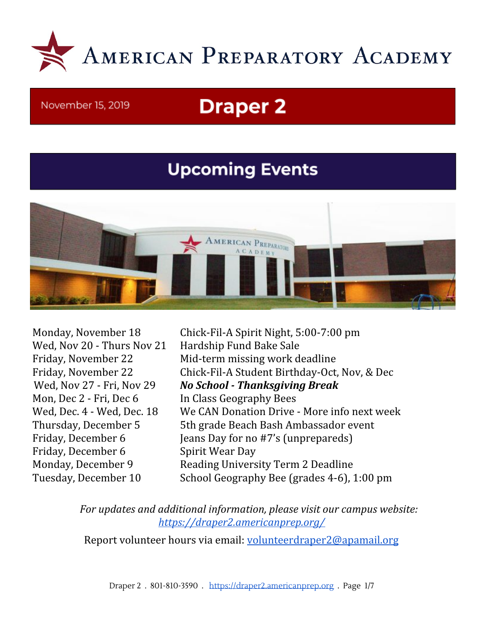

#### November 15, 2019

# **Draper 2**

# **Upcoming Events**



Wed, Nov 20 - Thurs Nov 21 Hardship Fund Bake Sale Mon, Dec 2 - Fri, Dec 6 In Class Geography Bees Friday, December 6 Spirit Wear Day

Monday, November 18 Chick-Fil-A Spirit Night, 5:00-7:00 pm Friday, November 22 Mid-term missing work deadline Friday, November 22 Chick-Fil-A Student Birthday-Oct, Nov, & Dec Wed, Nov 27 - Fri, Nov 29 *No School - Thanksgiving Break* Wed, Dec. 4 - Wed, Dec. 18 We CAN Donation Drive - More info next week Thursday, December 5 5th grade Beach Bash Ambassador event Friday, December 6 Jeans Day for no #7's (unprepareds) Monday, December 9 Reading University Term 2 Deadline Tuesday, December 10 School Geography Bee (grades 4-6), 1:00 pm

> *For updates and additional information, please visit our campus website: <https://draper2.americanprep.org/>*

Report volunteer hours via email: [volunteerdraper2@apamail.org](mailto:volunteerdraper2@apamail.org)

Draper 2 . 801-810-3590 . [https://draper2.americanprep.org](https://draper2.americanprep.org/) . Page 1/7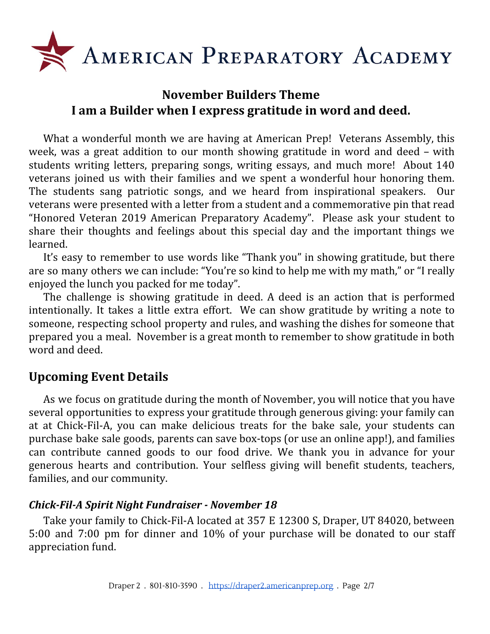

# **November Builders Theme I am a Builder when I express gratitude in word and deed.**

What a wonderful month we are having at American Prep! Veterans Assembly, this week, was a great addition to our month showing gratitude in word and deed – with students writing letters, preparing songs, writing essays, and much more! About 140 veterans joined us with their families and we spent a wonderful hour honoring them. The students sang patriotic songs, and we heard from inspirational speakers. Our veterans were presented with a letter from a student and a commemorative pin that read "Honored Veteran 2019 American Preparatory Academy". Please ask your student to share their thoughts and feelings about this special day and the important things we learned.

It's easy to remember to use words like "Thank you" in showing gratitude, but there are so many others we can include: "You're so kind to help me with my math," or "I really enjoyed the lunch you packed for me today".

The challenge is showing gratitude in deed. A deed is an action that is performed intentionally. It takes a little extra effort. We can show gratitude by writing a note to someone, respecting school property and rules, and washing the dishes for someone that prepared you a meal. November is a great month to remember to show gratitude in both word and deed.

# **Upcoming Event Details**

As we focus on gratitude during the month of November, you will notice that you have several opportunities to express your gratitude through generous giving: your family can at at Chick-Fil-A, you can make delicious treats for the bake sale, your students can purchase bake sale goods, parents can save box-tops (or use an online app!), and families can contribute canned goods to our food drive. We thank you in advance for your generous hearts and contribution. Your selfless giving will benefit students, teachers, families, and our community.

### *Chick-Fil-A Spirit Night Fundraiser - November 18*

Take your family to Chick-Fil-A located at 357 E 12300 S, Draper, UT 84020, between 5:00 and 7:00 pm for dinner and 10% of your purchase will be donated to our staff appreciation fund.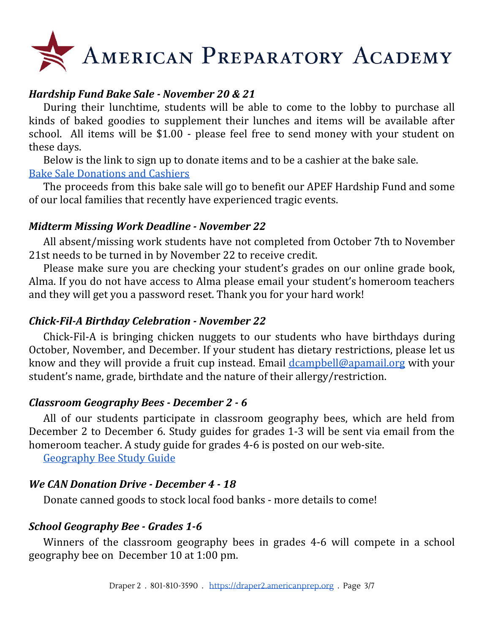# AMERICAN PREPARATORY ACADEMY

## *Hardship Fund Bake Sale - November 20 & 21*

During their lunchtime, students will be able to come to the lobby to purchase all kinds of baked goodies to supplement their lunches and items will be available after school. All items will be \$1.00 - please feel free to send money with your student on these days.

Below is the link to sign up to donate items and to be a cashier at the bake sale. Bake Sale [Donations](https://www.signupgenius.com/go/20F0A45AEA828AAFC1-friends) and Cashiers

The proceeds from this bake sale will go to benefit our APEF Hardship Fund and some of our local families that recently have experienced tragic events.

### *Midterm Missing Work Deadline - November 22*

All absent/missing work students have not completed from October 7th to November 21st needs to be turned in by November 22 to receive credit.

Please make sure you are checking your student's grades on our online grade book, Alma. If you do not have access to Alma please email your student's homeroom teachers and they will get you a password reset. Thank you for your hard work!

#### *Chick-Fil-A Birthday Celebration - November 22*

Chick-Fil-A is bringing chicken nuggets to our students who have birthdays during October, November, and December. If your student has dietary restrictions, please let us know and they will provide a fruit cup instead. Email [dcampbell@apamail.org](mailto:dcampbell@apamail.org) with your student's name, grade, birthdate and the nature of their allergy/restriction.

#### *Classroom Geography Bees - December 2 - 6*

All of our students participate in classroom geography bees, which are held from December 2 to December 6. Study guides for grades 1-3 will be sent via email from the homeroom teacher. A study guide for grades 4-6 is posted on our web-site.

[Geography](https://draper2.americanprep.org/wp-content/uploads/sites/3/2019/11/geobee-study-toolkit-2019-2020.pdf) Bee Study Guide

# *We CAN Donation Drive - December 4 - 18*

Donate canned goods to stock local food banks - more details to come!

# *School Geography Bee - Grades 1-6*

Winners of the classroom geography bees in grades 4-6 will compete in a school geography bee on December 10 at 1:00 pm.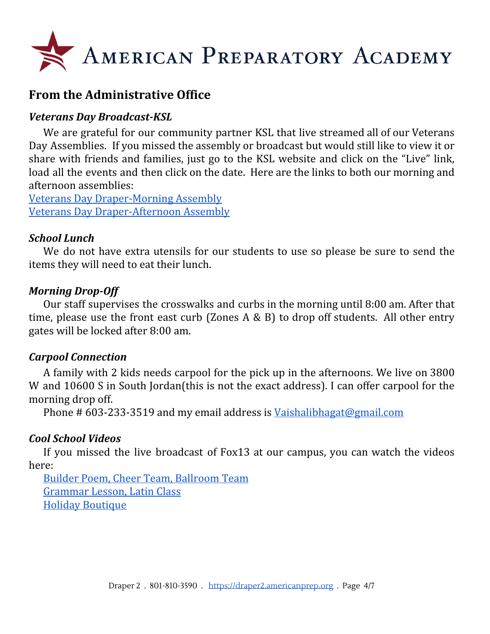

# **From the Administrative Office**

#### *Veterans Day Broadcast-KSL*

We are grateful for our community partner KSL that live streamed all of our Veterans Day Assemblies. If you missed the assembly or broadcast but would still like to view it or share with friends and families, just go to the KSL website and click on the "Live" link, load all the events and then click on the date. Here are the links to both our morning and afternoon assemblies:

Veterans Day [Draper-Morning](https://live.ksl.com/#/schedule/cat/education/2019-11-13?_k=8ctt7s) Assembly Veterans Day [Draper-Afternoon](https://live.ksl.com/#/schedule/cat/education/2019-11-13?_k=8ctt7s) Assembly

#### *School Lunch*

We do not have extra utensils for our students to use so please be sure to send the items they will need to eat their lunch.

#### *Morning Drop-Off*

Our staff supervises the crosswalks and curbs in the morning until 8:00 am. After that time, please use the front east curb (Zones  $A \& B$ ) to drop off students. All other entry gates will be locked after 8:00 am.

### *Carpool Connection*

A family with 2 kids needs carpool for the pick up in the afternoons. We live on 3800 W and 10600 S in South Jordan(this is not the exact address). I can offer carpool for the morning drop off.

Phone # 603-233-3519 and my email address is [Vaishalibhagat@gmail.com](mailto:Vaishalibhagat@gmail.com)

### *Cool School Videos*

If you missed the live broadcast of Fox13 at our campus, you can watch the videos here:

Builder Poem, Cheer Team, [Ballroom](https://fox13now.com/2019/11/08/cool-school-of-the-week-american-preparatory-academy/) Team [Grammar](https://www.streamslist.com/Player?ShareId=1d082adf-0baa-4001-8e9b-93ba56036481&PortalId=7486a39f-6cbf-4727-809b-fd5cf48122d1&EmailAddress=aniess@universal-info.com&FileId=25043c62-0c1e-4537-ab7c-29645614045e) Lesson, Latin Class Holiday [Boutique](https://www.streamslist.com/Player?ShareId=1d082adf-0baa-4001-8e9b-93ba56036481&PortalId=7486a39f-6cbf-4727-809b-fd5cf48122d1&EmailAddress=aniess@universal-info.com&FileId=370e817e-82fa-48b4-a244-da1c9c18e6f0)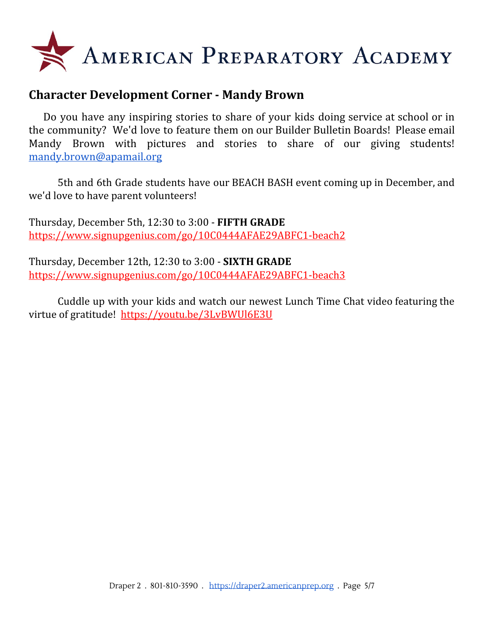

# **Character Development Corner - Mandy Brown**

Do you have any inspiring stories to share of your kids doing service at school or in the community? We'd love to feature them on our Builder Bulletin Boards! Please email Mandy Brown with pictures and stories to share of our giving students! [mandy.brown@apamail.org](mailto:mandy.brown@apamail.org)

5th and 6th Grade students have our BEACH BASH event coming up in December, and we'd love to have parent volunteers!

Thursday, December 5th, 12:30 to 3:00 - **FIFTH GRADE** <https://www.signupgenius.com/go/10C0444AFAE29ABFC1-beach2>

Thursday, December 12th, 12:30 to 3:00 - **SIXTH GRADE** <https://www.signupgenius.com/go/10C0444AFAE29ABFC1-beach3>

Cuddle up with your kids and watch our newest Lunch Time Chat video featuring the virtue of gratitude! <https://youtu.be/3LvBWUl6E3U>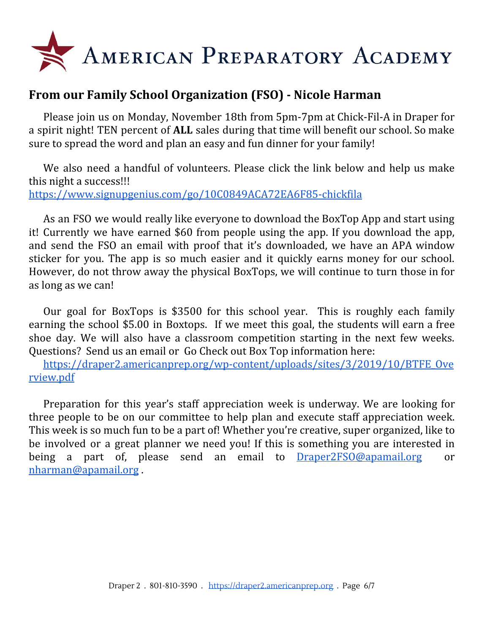

# **From our Family School Organization (FSO) - Nicole Harman**

Please join us on Monday, November 18th from 5pm-7pm at Chick-Fil-A in Draper for a spirit night! TEN percent of **ALL** sales during that time will benefit our school. So make sure to spread the word and plan an easy and fun dinner for your family!

We also need a handful of volunteers. Please click the link below and help us make this night a success!!! <https://www.signupgenius.com/go/10C0849ACA72EA6F85-chickfila>

As an FSO we would really like everyone to download the BoxTop App and start using it! Currently we have earned \$60 from people using the app. If you download the app, and send the FSO an email with proof that it's downloaded, we have an APA window sticker for you. The app is so much easier and it quickly earns money for our school. However, do not throw away the physical BoxTops, we will continue to turn those in for as long as we can!

Our goal for BoxTops is \$3500 for this school year. This is roughly each family earning the school \$5.00 in Boxtops. If we meet this goal, the students will earn a free shoe day. We will also have a classroom competition starting in the next few weeks. Questions? Send us an email or Go Check out Box Top information here:

[https://draper2.americanprep.org/wp-content/uploads/sites/3/2019/10/BTFE\\_Ove](https://draper2.americanprep.org/wp-content/uploads/sites/3/2019/10/BTFE_Overview.pdf) [rview.pdf](https://draper2.americanprep.org/wp-content/uploads/sites/3/2019/10/BTFE_Overview.pdf)

Preparation for this year's staff appreciation week is underway. We are looking for three people to be on our committee to help plan and execute staff appreciation week. This week is so much fun to be a part of! Whether you're creative, super organized, like to be involved or a great planner we need you! If this is something you are interested in being a part of, please send an email to [Draper2FSO@apamail.org](mailto:Draper2FSO@apamail.org) or [nharman@apamail.org](mailto:nharman@apamail.org) .